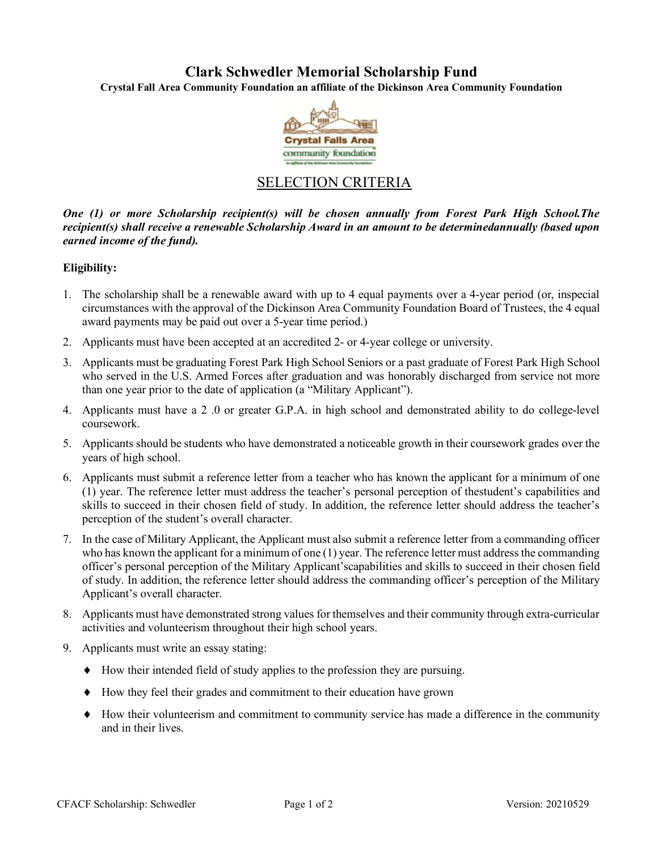# **Clark Schwedler Memorial Scholarship Fund**

**Crystal Fall Area Community Foundation an affiliate of the Dickinson Area Community Foundation**



# SELECTION CRITERIA

*One (1) or more Scholarship recipient(s) will be chosen annually from Forest Park High School.The recipient(s) shall receive a renewable Scholarship Award in an amount to be determinedannually (based upon earned income of the fund).*

## **Eligibility:**

- 1. The scholarship shall be a renewable award with up to 4 equal payments over a 4-year period (or, inspecial circumstances with the approval of the Dickinson Area Community Foundation Board of Trustees, the 4 equal award payments may be paid out over a 5-year time period.)
- 2. Applicants must have been accepted at an accredited 2- or 4-year college or university.
- 3. Applicants must be graduating Forest Park High School Seniors or a past graduate of Forest Park High School who served in the U.S. Armed Forces after graduation and was honorably discharged from service not more than one year prior to the date of application (a "Military Applicant").
- 4. Applicants must have a 2 .0 or greater G.P.A. in high school and demonstrated ability to do college-level coursework.
- 5. Applicants should be students who have demonstrated a noticeable growth in their coursework grades over the years of high school.
- 6. Applicants must submit a reference letter from a teacher who has known the applicant for a minimum of one (1) year. The reference letter must address the teacher's personal perception of thestudent's capabilities and skills to succeed in their chosen field of study. In addition, the reference letter should address the teacher's perception of the student's overall character.
- 7. In the case of Military Applicant, the Applicant must also submit a reference letter from a commanding officer who has known the applicant for a minimum of one (1) year. The reference letter must address the commanding officer's personal perception of the Military Applicant'scapabilities and skills to succeed in their chosen field of study. In addition, the reference letter should address the commanding officer's perception of the Military Applicant's overall character.
- 8. Applicants must have demonstrated strong values for themselves and their community through extra-curricular activities and volunteerism throughout their high school years.
- 9. Applicants must write an essay stating:
	- ♦ How their intended field of study applies to the profession they are pursuing.
	- ♦ How they feel their grades and commitment to their education have grown
	- ♦ How their volunteerism and commitment to community service has made a difference in the community and in their lives.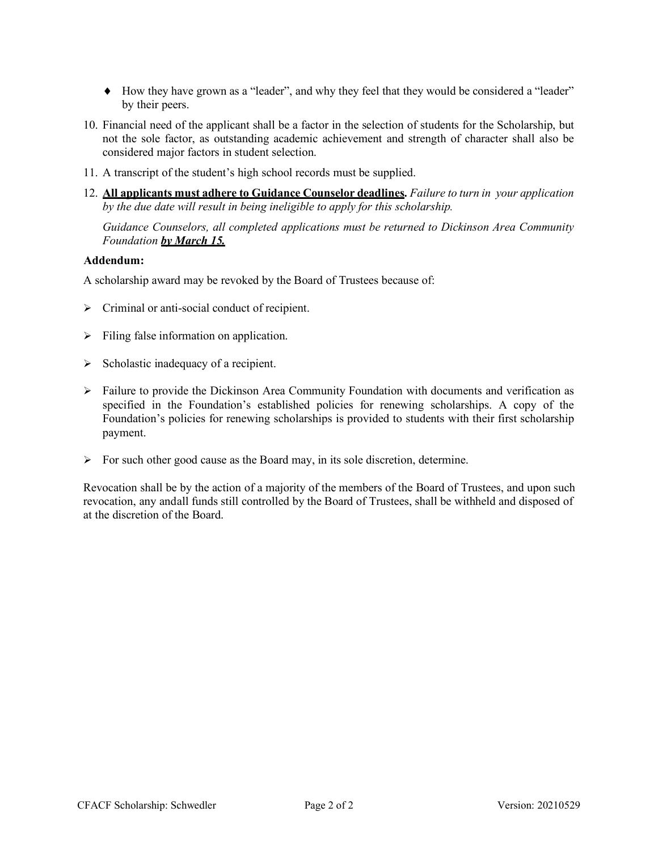- ♦ How they have grown as a "leader", and why they feel that they would be considered a "leader" by their peers.
- 10. Financial need of the applicant shall be a factor in the selection of students for the Scholarship, but not the sole factor, as outstanding academic achievement and strength of character shall also be considered major factors in student selection.
- 11. A transcript of the student's high school records must be supplied.
- 12. **All applicants must adhere to Guidance Counselor deadlines.** *Failure to turn in your application by the due date will result in being ineligible to apply for this scholarship.*

*Guidance Counselors, all completed applications must be returned to Dickinson Area Community Foundation by March 15.*

## **Addendum:**

A scholarship award may be revoked by the Board of Trustees because of:

- $\triangleright$  Criminal or anti-social conduct of recipient.
- $\triangleright$  Filing false information on application.
- $\triangleright$  Scholastic inadequacy of a recipient.
- $\triangleright$  Failure to provide the Dickinson Area Community Foundation with documents and verification as specified in the Foundation's established policies for renewing scholarships. A copy of the Foundation's policies for renewing scholarships is provided to students with their first scholarship payment.
- $\triangleright$  For such other good cause as the Board may, in its sole discretion, determine.

Revocation shall be by the action of a majority of the members of the Board of Trustees, and upon such revocation, any andall funds still controlled by the Board of Trustees, shall be withheld and disposed of at the discretion of the Board.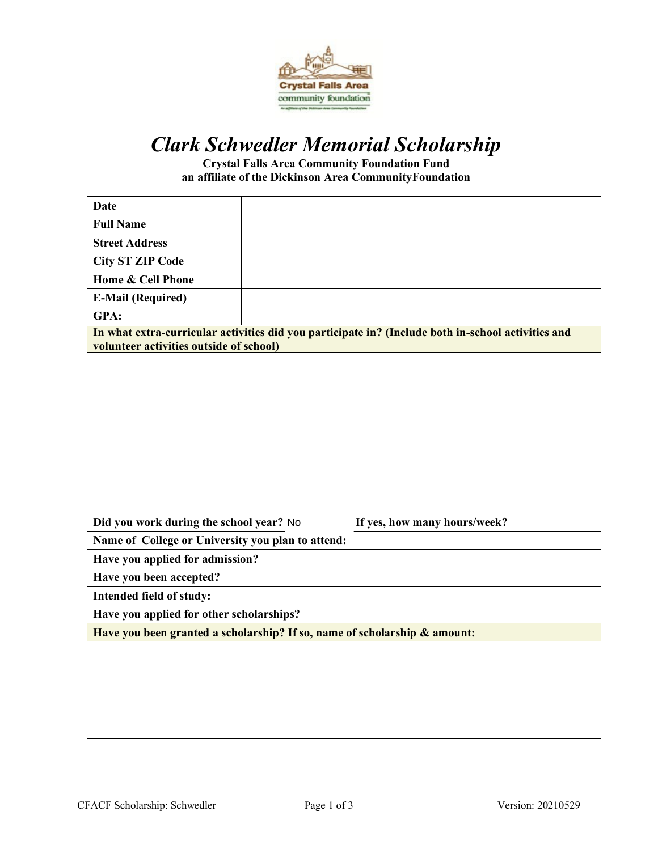

# *Clark Schwedler Memorial Scholarship*

**Crystal Falls Area Community Foundation Fund an affiliate of the Dickinson Area CommunityFoundation**

| <b>Date</b>                                                                                                                                   |  |                              |  |  |  |
|-----------------------------------------------------------------------------------------------------------------------------------------------|--|------------------------------|--|--|--|
| <b>Full Name</b>                                                                                                                              |  |                              |  |  |  |
| <b>Street Address</b>                                                                                                                         |  |                              |  |  |  |
| <b>City ST ZIP Code</b>                                                                                                                       |  |                              |  |  |  |
| Home & Cell Phone                                                                                                                             |  |                              |  |  |  |
| <b>E-Mail (Required)</b>                                                                                                                      |  |                              |  |  |  |
| GPA:                                                                                                                                          |  |                              |  |  |  |
| In what extra-curricular activities did you participate in? (Include both in-school activities and<br>volunteer activities outside of school) |  |                              |  |  |  |
|                                                                                                                                               |  |                              |  |  |  |
| Did you work during the school year? No                                                                                                       |  | If yes, how many hours/week? |  |  |  |
| Name of College or University you plan to attend:                                                                                             |  |                              |  |  |  |
| Have you applied for admission?                                                                                                               |  |                              |  |  |  |
| Have you been accepted?                                                                                                                       |  |                              |  |  |  |
| Intended field of study:                                                                                                                      |  |                              |  |  |  |
| Have you applied for other scholarships?                                                                                                      |  |                              |  |  |  |
| Have you been granted a scholarship? If so, name of scholarship & amount:                                                                     |  |                              |  |  |  |
|                                                                                                                                               |  |                              |  |  |  |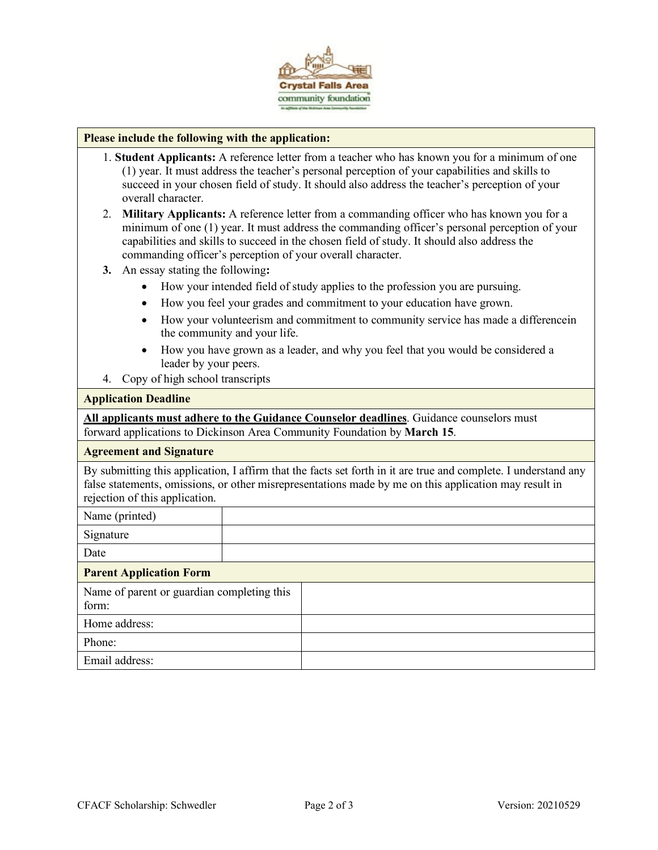

### **Please include the following with the application:**

- 1. **Student Applicants:** A reference letter from a teacher who has known you for a minimum of one (1) year. It must address the teacher's personal perception of your capabilities and skills to succeed in your chosen field of study. It should also address the teacher's perception of your overall character.
- 2. **Military Applicants:** A reference letter from a commanding officer who has known you for a minimum of one (1) year. It must address the commanding officer's personal perception of your capabilities and skills to succeed in the chosen field of study. It should also address the commanding officer's perception of your overall character.
- **3.** An essay stating the following**:**
	- How your intended field of study applies to the profession you are pursuing.
	- How you feel your grades and commitment to your education have grown.
	- How your volunteerism and commitment to community service has made a differencein the community and your life.
	- How you have grown as a leader, and why you feel that you would be considered a leader by your peers.
- 4. Copy of high school transcripts

### **Application Deadline**

**All applicants must adhere to the Guidance Counselor deadlines**. Guidance counselors must forward applications to Dickinson Area Community Foundation by **March 15**.

### **Agreement and Signature**

By submitting this application, I affirm that the facts set forth in it are true and complete. I understand any false statements, omissions, or other misrepresentations made by me on this application may result in rejection of this application.

| Name (printed)                                      |  |  |  |  |
|-----------------------------------------------------|--|--|--|--|
| Signature                                           |  |  |  |  |
| Date                                                |  |  |  |  |
| <b>Parent Application Form</b>                      |  |  |  |  |
| Name of parent or guardian completing this<br>form: |  |  |  |  |
| Home address:                                       |  |  |  |  |
| Phone:                                              |  |  |  |  |
| Email address:                                      |  |  |  |  |